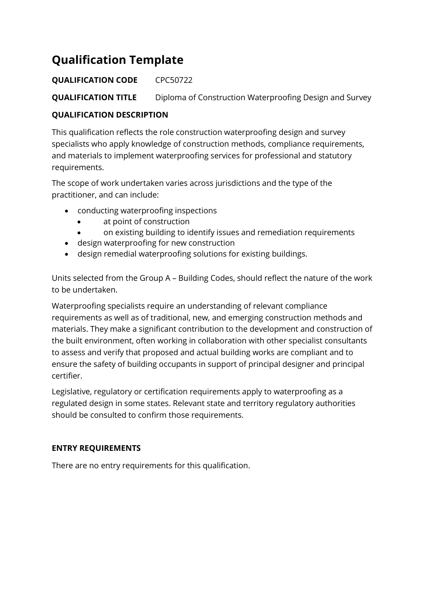# **Qualification Template**

# **QUALIFICATION CODE** CPC50722

**QUALIFICATION TITLE** Diploma of Construction Waterproofing Design and Survey

## **QUALIFICATION DESCRIPTION**

This qualification reflects the role construction waterproofing design and survey specialists who apply knowledge of construction methods, compliance requirements, and materials to implement waterproofing services for professional and statutory requirements.

The scope of work undertaken varies across jurisdictions and the type of the practitioner, and can include:

- conducting waterproofing inspections
	- at point of construction
	- on existing building to identify issues and remediation requirements
- design waterproofing for new construction
- design remedial waterproofing solutions for existing buildings.

Units selected from the Group A – Building Codes, should reflect the nature of the work to be undertaken.

Waterproofing specialists require an understanding of relevant compliance requirements as well as of traditional, new, and emerging construction methods and materials. They make a significant contribution to the development and construction of the built environment, often working in collaboration with other specialist consultants to assess and verify that proposed and actual building works are compliant and to ensure the safety of building occupants in support of principal designer and principal certifier.

Legislative, regulatory or certification requirements apply to waterproofing as a regulated design in some states. Relevant state and territory regulatory authorities should be consulted to confirm those requirements.

### **ENTRY REQUIREMENTS**

There are no entry requirements for this qualification.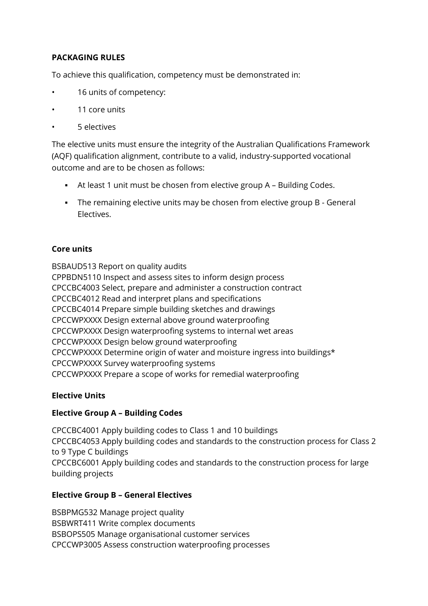## **PACKAGING RULES**

To achieve this qualification, competency must be demonstrated in:

- 16 units of competency:
- 11 core units
- 5 electives

The elective units must ensure the integrity of the Australian Qualifications Framework (AQF) qualification alignment, contribute to a valid, industry-supported vocational outcome and are to be chosen as follows:

- At least 1 unit must be chosen from elective group A Building Codes.
- **•** The remaining elective units may be chosen from elective group B General Electives.

#### **Core units**

BSBAUD513 Report on quality audits CPPBDN5110 Inspect and assess sites to inform design process CPCCBC4003 Select, prepare and administer a construction contract CPCCBC4012 Read and interpret plans and specifications CPCCBC4014 Prepare simple building sketches and drawings CPCCWPXXXX Design external above ground waterproofing CPCCWPXXXX Design waterproofing systems to internal wet areas CPCCWPXXXX Design below ground waterproofing CPCCWPXXXX Determine origin of water and moisture ingress into buildings\* CPCCWPXXXX Survey waterproofing systems CPCCWPXXXX Prepare a scope of works for remedial waterproofing

#### **Elective Units**

#### **Elective Group A – Building Codes**

CPCCBC4001 Apply building codes to Class 1 and 10 buildings CPCCBC4053 Apply building codes and standards to the construction process for Class 2 to 9 Type C buildings CPCCBC6001 Apply building codes and standards to the construction process for large building projects

#### **Elective Group B – General Electives**

BSBPMG532 Manage project quality BSBWRT411 Write complex documents BSBOPS505 Manage organisational customer services CPCCWP3005 Assess construction waterproofing processes